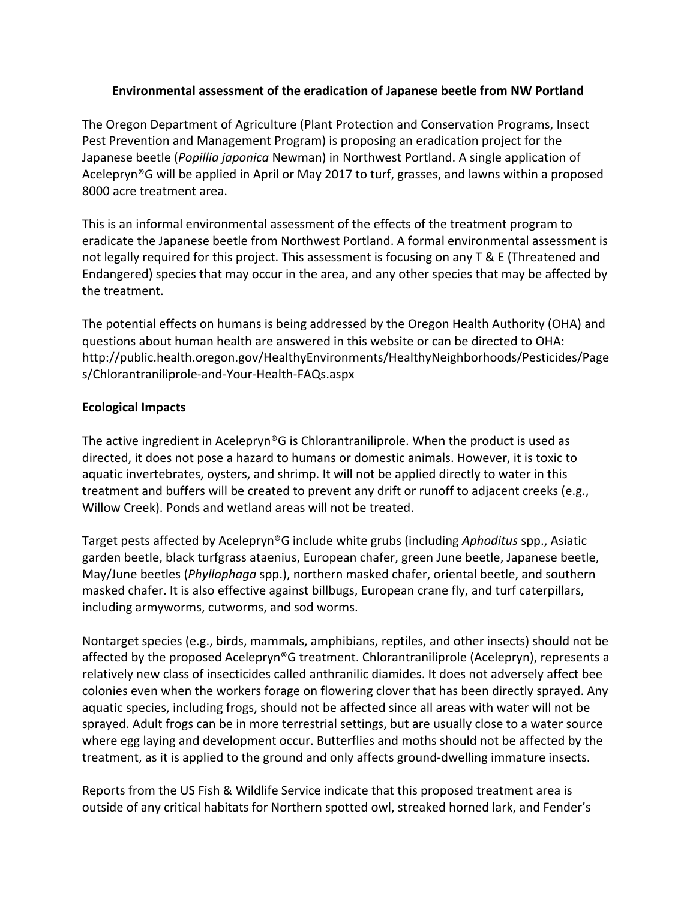## **Environmental assessment of the eradication of Japanese beetle from NW Portland**

The Oregon Department of Agriculture (Plant Protection and Conservation Programs, Insect Pest Prevention and Management Program) is proposing an eradication project for the Japanese beetle (*Popillia japonica* Newman) in Northwest Portland. A single application of Acelepryn<sup>®</sup>G will be applied in April or May 2017 to turf, grasses, and lawns within a proposed 8000 acre treatment area.

This is an informal environmental assessment of the effects of the treatment program to eradicate the Japanese beetle from Northwest Portland. A formal environmental assessment is not legally required for this project. This assessment is focusing on any  $T \& E$  (Threatened and Endangered) species that may occur in the area, and any other species that may be affected by the treatment.

The potential effects on humans is being addressed by the Oregon Health Authority (OHA) and questions about human health are answered in this website or can be directed to OHA: http://public.health.oregon.gov/HealthyEnvironments/HealthyNeighborhoods/Pesticides/Page s/Chlorantraniliprole-and-Your-Health-FAQs.aspx

## **Ecological Impacts**

The active ingredient in Acelepryn<sup>®</sup>G is Chlorantraniliprole. When the product is used as directed, it does not pose a hazard to humans or domestic animals. However, it is toxic to aquatic invertebrates, oysters, and shrimp. It will not be applied directly to water in this treatment and buffers will be created to prevent any drift or runoff to adjacent creeks (e.g., Willow Creek). Ponds and wetland areas will not be treated.

Target pests affected by Acelepryn<sup>®</sup>G include white grubs (including *Aphoditus* spp., Asiatic garden beetle, black turfgrass ataenius, European chafer, green June beetle, Japanese beetle, May/June beetles (*Phyllophaga* spp.), northern masked chafer, oriental beetle, and southern masked chafer. It is also effective against billbugs, European crane fly, and turf caterpillars, including armyworms, cutworms, and sod worms.

Nontarget species (e.g., birds, mammals, amphibians, reptiles, and other insects) should not be affected by the proposed Acelepryn<sup>®</sup>G treatment. Chlorantraniliprole (Acelepryn), represents a relatively new class of insecticides called anthranilic diamides. It does not adversely affect bee colonies even when the workers forage on flowering clover that has been directly sprayed. Any aquatic species, including frogs, should not be affected since all areas with water will not be sprayed. Adult frogs can be in more terrestrial settings, but are usually close to a water source where egg laying and development occur. Butterflies and moths should not be affected by the treatment, as it is applied to the ground and only affects ground-dwelling immature insects.

Reports from the US Fish & Wildlife Service indicate that this proposed treatment area is outside of any critical habitats for Northern spotted owl, streaked horned lark, and Fender's